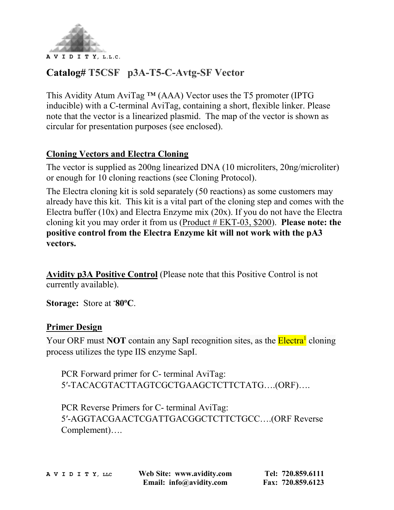

## **Catalog# T5CSF p3A-T5-C-Avtg-SF Vector**

This Avidity Atum AviTag ™ (AAA) Vector uses the T5 promoter (IPTG inducible) with a C-terminal AviTag, containing a short, flexible linker. Please note that the vector is a linearized plasmid. The map of the vector is shown as circular for presentation purposes (see enclosed).

#### **Cloning Vectors and Electra Cloning**

The vector is supplied as 200ng linearized DNA (10 microliters, 20ng/microliter) or enough for 10 cloning reactions (see Cloning Protocol).

The Electra cloning kit is sold separately (50 reactions) as some customers may already have this kit. This kit is a vital part of the cloning step and comes with the Electra buffer (10x) and Electra Enzyme mix (20x). If you do not have the Electra cloning kit you may order it from us [\(Product # EKT-03, \\$200\)](https://www.avidity.com/commerce/product.asp?NUMBER=43). **Please note: the positive control from the Electra Enzyme kit will not work with the pA3 vectors.**

**Avidity p3A Positive Control** (Please note that this Positive Control is not currently available).

Storage: Store at  $\text{-}80^{\circ}$ C.

#### **Primer Design**

Your ORF must **NOT** contain any SapI recognition sites, as the **Electra<sup>1</sup>** cloning process utilizes the type IIS enzyme SapI.

PCR Forward primer for C- terminal AviTag: 5′-TACACGTACTTAGTCGCTGAAGCTCTTCTATG….(ORF)….

PCR Reverse Primers for C- terminal AviTag: 5′-AGGTACGAACTCGATTGACGGCTCTTCTGCC….(ORF Reverse Complement)….

**A V I D I T Y, LLC Web Site: www.avidity.com Tel: 720.859.6111 Email: info@avidity.com Fax: 720.859.6123**